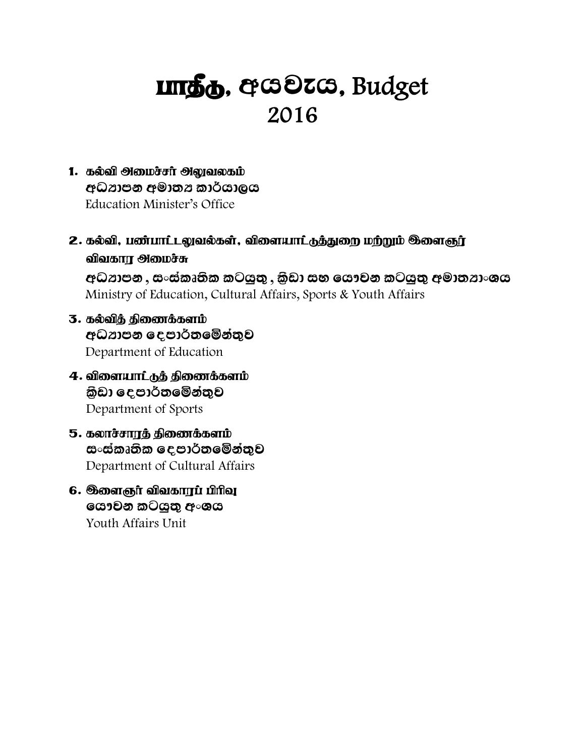# **ungg.** ecodics, Budget 2016

- 1. 55 Mikrophikan Manakan අධ්යාපන අමාතය කාර්යාලය Education Minister's Office
- 2. கல்வி, பண்பாட்டலுவல்கள், விளையாட்டுத்துறை மற்றும் <sup>ஞ</sup>ளைஞர் விவகாா $\theta$ ிமைச்சு අධ්යාපන , සංස්කෘතික කටයුතු , කුඩා සහ යෞවන කටයුතු අමාත්යාංශය Ministry of Education, Cultural Affairs, Sports & Youth Affairs
- 3. கல்விக் கிணைக்களம் අධ**තාපන දෙපාර්තමේන්තුව** Department of Education
- $4.$  விளையாட்டுக் கிணைக்களம் කිඩා දෙපාර්තමේන්තුව Department of Sports
- $5.5$ ை $t$ சாரத் திணைக்களம் ස**ංස්කෘතික දෙපාර්තමේන්තුව** Department of Cultural Affairs
- $6.$  திளைஞர் விவகாரப் பிரிவு ගෞවන කටයුතු **අංශය** Youth Affairs Unit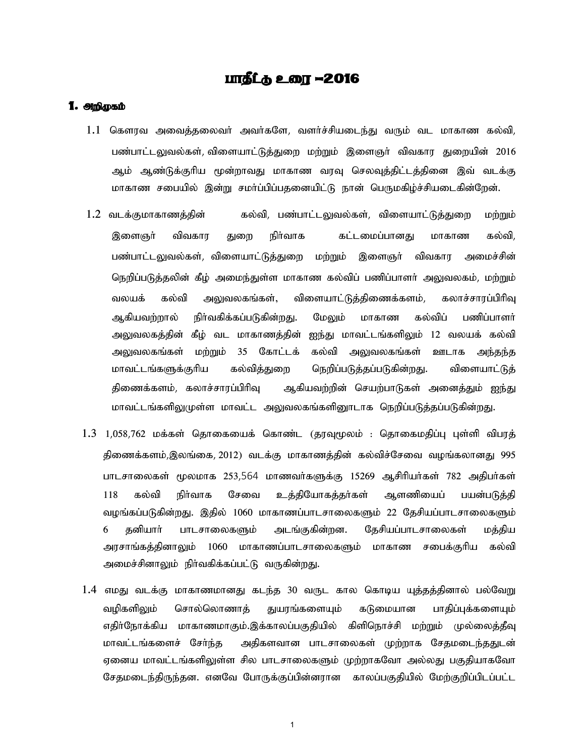### <u>பாதீட்கு உரை</u> –2016

#### 1. Mghamb

- $1.1$  கௌரவ அவைத்தலைவா் அவா்களே, வளா்ச்சியடைந்து வரும் வட மாகாண கல்வி, பண்பாட்டலுவல்கள், விளையாட்டுத்துறை மற்றும் இளைஞர் விவகார துறையின் 2016 ஆம் ஆண்டுக்குரிய மூன்றாவது மாகாண வரவு செலவுத்திட்டத்தினை இவ் வடக்கு மாகாண சபையில் இன்று சமா்ப்பிப்பதனையிட்டு நான் பெருமகிழ்ச்சியடைகின்றேன்.
- $1.2$  வடக்குமாகாணத்தின் கல்வி, பண்பாட்டலுவல்கள், விளையாட்டுத்துறை மற்றும் இளைஞா் விவகார துறை நிா்வாக கட்டமைப்பானது மாகாண கல்வி, பண்பாட்டலுவல்கள், விளையாட்டுத்துறை மற்றும் இளைஞர் விவகார அமைச்சின் நெறிப்படுத்தலின் கீழ் அமைந்துள்ள மாகாண கல்விப் பணிப்பாளர் அலுவலகம், மற்றும் வலயக் கல்வி அலுவலகங்கள், விளையாட்டுத்திணைக்களம், கலாச்சாரப்பிரிவு ஆகியவற்றால் நிர்வகிக்கப்படுகின்றது. மேலும் மாகாண கல்விப் பணிப்பாளர் அலுவலகத்தின் கீழ் வட மாகாணத்தின் ஐந்து மாவட்டங்களிலும் 12 வலயக் கல்வி அலுவலகங்கள் மற்றும் 35 கோட்டக் கல்வி அலுவலகங்கள் ஊடாக அந்தந்த மாவட்டங்களுக்குரிய கல்வித்துறை நெறிப்படுத்தப்படுகின்றது. விளையாட்டுத் திணைக்களம், கலாச்சாரப்பிரிவு ஆகியவற்றின் செயற்பாடுகள் அனைத்தும் ஐந்து மாவட்டங்களிலுமுள்ள மாவட்ட அலுவலகங்களினூடாக நெறிப்படுத்தப்படுகின்றது.
- $1.3$   $1,058,762$  மக்கள் தொகையைக் கொண்ட (தரவுமுலம் : தொகைமதிப்பு புள்ளி விபரத் திணைக்களம்,இலங்கை, 2012) வடக்கு மாகாணத்தின் கல்விச்சேவை வழங்கலானது 995 பாடசாலைகள் மூலமாக 253,564 மாணவா்களுக்கு 15269 ஆசிரியா்கள் 782 அதிபா்கள் 118 கல்வி நிர்வாக சேவை உத்தியோகத்தர்கள் ஆளணியைப் பயன்படுத்தி வழங்கப்படுகின்றது. இதில் 1060 மாகாணப்பாடசாலைகளும் 22 தேசியப்பாடசாலைகளும் 6 தனியாா் பாடசாலைகளும் அடங்குகின்றன. தேசியப்பாடசாலைகள் மத்திய அரசாங்கத்தினாலும் 1060 மாகாணப்பாடசாலைகளும் மாகாண சபைக்குரிய கல்வி அமைச்சினாலும் நிர்வகிக்கப்பட்டு வருகின்றது.
- $1.4$  எமது வடக்கு மாகாணமானது கடந்த 30 வருட கால கொடிய யுத்தத்தினால் பல்வேறு வழிகளிலும் சொல்லொணாத் துயரங்களையும் கடுமையான பாதிப்புக்களையும் எதிர்நோக்கிய மாகாணமாகும்.இக்காலப்பகுதியில் கிளிநொச்சி மற்றும் முல்லைத்தீவு மாவட்டங்களைச் சேர்ந்த அதிகளவான பாடசாலைகள் முற்றாக சேதமடைந்ததுடன் ஏனைய மாவட்டங்களிலுள்ள சில பாடசாலைகளும் முற்றாகவோ அல்லது பகுதியாகவோ சேதமடைந்திருந்தன. எனவே போருக்குப்பின்னரான காலப்பகுதியில் மேற்குறிப்பிடப்பட்ட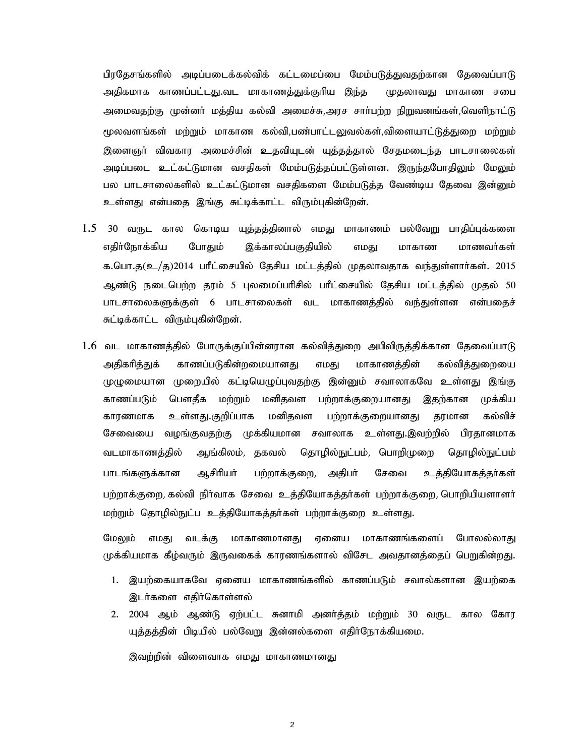பிரதேசங்களில் அடிப்படைக்கல்விக் கட்டமைப்பை மேம்படுத்துவதற்கான தேவைப்பாடு அதிகமாக காணப்பட்டது.வட மாகாணத்துக்குரிய இந்த முதலாவது மாகாண சபை அமைவதற்கு முன்னா் மத்திய கல்வி அமைச்சு,அரச சாா்பற்ற நிறுவனங்கள்,வெளிநாட்டு மூலவளங்கள் மற்றும் மாகாண கல்வி,பண்பாட்டலுவல்கள்,விளையாட்டுத்துறை மற்றும் இளைஞர் விவகார அமைச்சின் உதவியுடன் யுத்தத்தால் சேதமடைந்த பாடசாலைகள் அடிப்படை உட்கட்டுமான வசதிகள் மேம்படுத்தப்பட்டுள்ளன. இருந்தபோதிலும் மேலும் பல பாடசாலைகளில் உட்கட்டுமான வசதிகளை மேம்படுத்த வேண்டிய தேவை இன்னும் உள்ளது என்பதை இங்கு சுட்டிக்காட்ட விரும்புகின்றேன்.

- 1.5 30 வருட கால கொடிய யுத்தத்தினால் எமது மாகாணம் பல்வேறு பாதிப்புக்களை எதிர்நோக்கிய போதும் இக்காலப்பகுதியில் எமது மாகாண மாணவர்கள் க.பொ.த $(\underline{\mathbf{z}}_{-}/\underline{\mathbf{z}}_{0})$ 2014 பாீட்சையில் தேசிய மட்டத்தில் முதலாவதாக வந்துள்ளாா்கள். 2015 ஆண்டு நடைபெற்ற தரம் 5 புலமைப்பரிசில் பரீட்சையில் தேசிய மட்டத்தில் முதல் 50 பாடசாலைகளுக்குள் 6 பாடசாலைகள் வட மாகாணத்தில் வந்துள்ளன என்பதைச் சுட்டிக்காட்ட விரும்புகின்றேன்.
- $1.6$  வட மாகாணத்தில் போருக்குப்பின்னரான கல்வித்துறை அபிவிருத்திக்கான தேவைப்பாடு அதிகரித்துக் காணப்படுகின்றமையானது எமது மாகாணத்தின் கல்வித்துறையை முழுமையான முறையில் கட்டியெழுப்புவதற்கு இன்னும் சவாலாகவே உள்ளது இங்கு காணப்படும் பௌதீக மற்றும் மனிதவள பற்றாக்குறையானது இதற்கான முக்கிய உள்ளது.குறிப்பாக மனிதவள பற்றாக்குறையானது கல்விச் காரணமாக தரமான சேவையை வழங்குவதற்கு முக்கியமான சவாலாக உள்ளது.இவற்றில் பிரதானமாக ஆங்கிலம், தகவல் தொழில்நுட்பம், பொறிமுறை வடமாகாணத்தில் தொழில்நுட்பம் பாடங்களுக்கான ஆசிரியா் பற்றாக்குறை, அதிபா் சேவை உத்தியோகத்தர்கள் பற்றாக்குறை, கல்வி நிர்வாக சேவை உத்தியோகத்தர்கள் பற்றாக்குறை, பொறியியளாளர் மற்றும் தொழில்நுட்ப உத்தியோகத்தா்கள் பற்றாக்குறை உள்ளது.

மேலும் எமது வடக்கு மாகாணமானது எனைய மாகாணங்களைப் போலல்லாது முக்கியமாக கீழ்வரும் இருவகைக் காரணங்களால் விசேட அவதானத்தைப் பெறுகின்றது.

- 1. இயற்கையாகவே ஏனைய மாகாணங்களில் காணப்படும் சவால்களான இயற்கை இடர்களை எதிர்கொள்ளல்
- 2. 2004 ஆம் ஆண்டு ஏற்பட்ட சுனாமி அனர்த்தம் மற்றும் 30 வருட கால கோர யுத்தத்தின் பிடியில் பல்வேறு இன்னல்களை எதிர்நோக்கியமை.

இவற்றின் விளைவாக எமது மாகாணமானது

 $\overline{2}$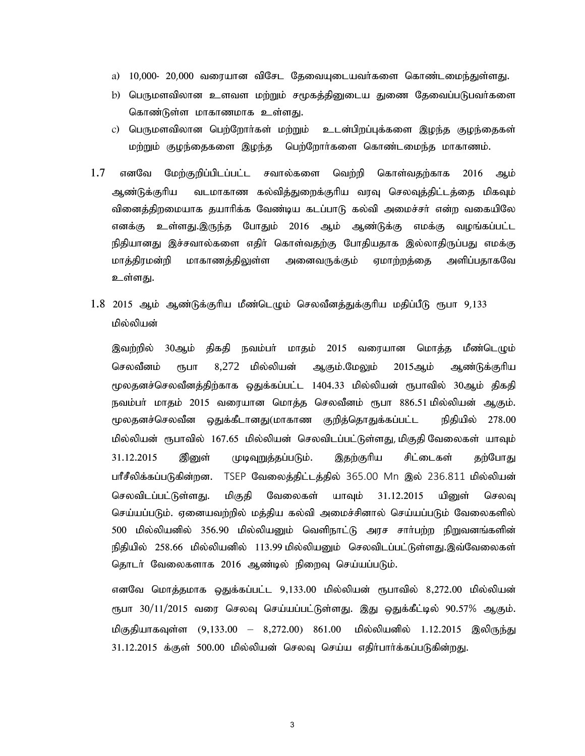- a) 10,000- 20,000 வரையான விசேட தேவையுடையவர்களை கொண்டமைந்துள்ளது.
- b) பெருமளவிலான உளவள மற்றும் சமூகத்தினுடைய துணை தேவைப்படுபவர்களை கொண்டுள்ள மாகாணமாக உள்ளது.
- c) பெருமளவிலான பெற்றோா்கள் மற்றும் உடன்பிறப்புக்களை இழந்த குழந்தைகள் மற்றும் குழந்தைகளை இழந்த பெற்றோர்களை கொண்டமைந்த மாகாணம்.
- $1.7$  எனவே மேற்குறிப்பிடப்பட்ட சவால்களை வெற்றி கொள்வதற்காக 2016 ஆம் ஆண்டுக்குரிய வடமாகாண கல்வித்துறைக்குரிய வரவு செலவுத்திட்டத்தை மிகவும் வினைத்திறமையாக தயாரிக்க வேண்டிய கடப்பாடு கல்வி அமைச்சர் என்ற வகையிலே எனக்கு உள்ளது.இருந்த போதும் 2016 ஆம் ஆண்டுக்கு எமக்கு வழங்கப்பட்ட நிதியானது இச்சவால்களை எதிா் கொள்வதற்கு போதியதாக இல்லாதிருப்பது எமக்கு மாத்திரமன்றி மாகாணத்திலுள்ள அனைவருக்கும் ஏமாற்றத்தை அளிப்பதாகவே உள்ளது.
- $1.8$   $2015$  ஆம் ஆண்டுக்குரிய மீண்டெழும் செலவீனத்துக்குரிய மதிப்பீடு ரூபா 9,133 பில்லிபன்

இவற்றில் 30ஆம் திகதி நவம்பா் மாதம் 2015 வரையான மொத்த மீண்டெழும் செலவீனம் ரூபா 8,272 மில்லியன் ஆகும்.மேலும் 2015ஆம் ஆண்டுக்குரிய மூலதனச்செலவீனத்திற்காக ஒதுக்கப்பட்ட 1404.33 மில்லியன் ரூபாவில் 30ஆம் திகதி நவம்பா் மாதம் 2015 வரையான மொத்த செலவீனம் ரூபா 886.51 மில்லியன் ஆகும். ரூலதனச்செலவீன ஒதுக்கீடானது(மாகாண குறித்தொதுக்கப்பட்ட நிதியில் 278.00 மில்லியன் ரூபாவில் 167.65 மில்லியன் செலவிடப்பட்டுள்ளது, மிகுதி வேலைகள் யாவும் 31.12.2015 இனுள் முடிவுறுத்தப்படும். இதற்குரிய சிட்டைகள் தற்போது பரீசீலிக்கப்படுகின்றன. TSEP வேலைத்திட்டத்தில் 365.00 Mn இல் 236.811 மில்லியன் செலவிடப்பட்டுள்ளது. மிகுதி வேலைகள் யாவும் 31.12.2015 யினுள் செலவு செய்யப்படும். ஏனையவற்றில் மத்திய கல்வி அமைச்சினால் செய்யப்படும் வேலைகளில் 500 மில்லியனில் 356.90 மில்லியனும் வெளிநாட்டு அரச சாா்பற்ற நிறுவனங்களின் நிதியில் 258.66 மில்லியனில் 113.99 மில்லியனும் செலவிடப்பட்டுள்ளது.இவ்வேலைகள் தொடர் வேலைகளாக 2016 ஆண்டில் நிறைவு செய்யப்படும்.

எனவே மொத்தமாக ஒதுக்கப்பட்ட 9,133.00 மில்லியன் ரூபாவில் 8,272.00 மில்லியன் ரூபா 30/11/2015 வரை செலவு செய்யப்பட்டுள்ளது. இது ஒதுக்கீட்டில் 90.57% ஆகும். மிகுதியாகவுள்ள (9,133.00 – 8,272.00) 861.00 மில்லியனில் 1.12.2015 இலிருந்து  $31.12.2015$  க்குள்  $500.00$  மில்லியன் செலவு செய்ய எதிா்பாா்க்கப்படுகின்றது.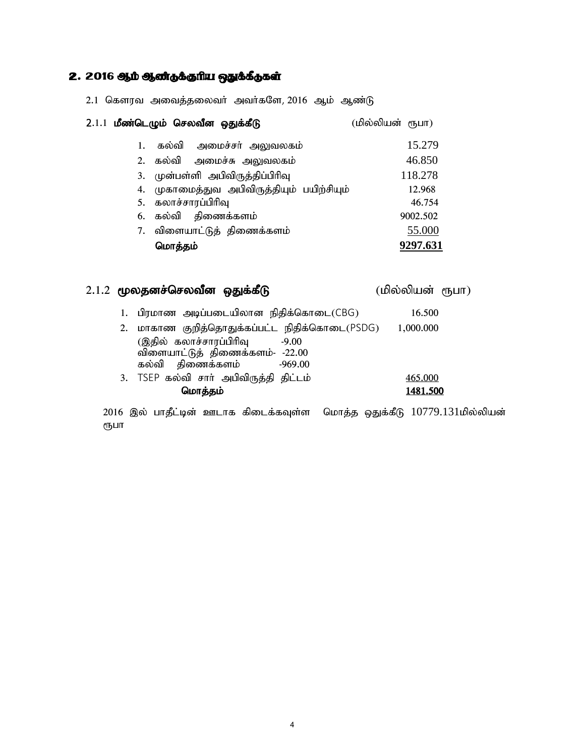## $2.2016$  ஆம் ஆண்டுக்குரிய ஒதுக்கீடுகள்

|  |  | 2.1 கௌரவ அவைத்தலைவர் அவர்களே, 2016 ஆம் ஆண்டு |  |  |  |
|--|--|----------------------------------------------|--|--|--|
|--|--|----------------------------------------------|--|--|--|

|    | 2.1.1 மீண்டெழும் செலவீன ஒதுக்கீடு          | (மில்லியன் ரூபா) |
|----|--------------------------------------------|------------------|
| 1. | கல்வி அமைச்சர் அலுவலகம்                    | 15.279           |
|    | 2. கல்வி அமைச்சு அலுவலகம்                  | 46.850           |
|    | 3. முன்பள்ளி அபிவிருத்திப்பிரிவு           | 118.278          |
|    | 4. முகாமைத்துவ அபிவிருத்தியும் பயிற்சியும் | 12.968           |
|    | 5. கலாச்சாரப்பிரிவு                        | 46.754           |
|    | 6. கல்வி திணைக்களம்                        | 9002.502         |
|    | 7. விளையாட்டுத் திணைக்களம்                 | 55.000           |
|    | மொத்தம்                                    | 9297.631         |

## $2.1.2$  மூலதனச்செலவீன ஒதுக்கீடு (மில்லியன் ரூபா)

|  | 1. பிரமாண அடிப்படையிலான நிதிக்கொடை(CBG)       | 16.500    |
|--|-----------------------------------------------|-----------|
|  | 2. மாகாண குறித்தொதுக்கப்பட்ட நிதிக்கொடை(PSDG) | 1,000.000 |
|  | (இதில் கலாச்சாரப்பிரிவு<br>$-9.00$            |           |
|  | விளையாட்டுத் திணைக்களம்- -22.00               |           |
|  | கல்வி திணைக்களம்<br>-969.00                   |           |
|  | 3. TSEP கல்வி சார் அபிவிருத்தி திட்டம்        | 465.000   |
|  | மொத்தம்                                       | 1481.500  |
|  |                                               |           |

 $2016$  இல் பாதீட்டின் ஊடாக கிடைக்கவுள்ள மொத்த ஒதுக்கீடு  $10779.131$ மில்லியன் ரூபா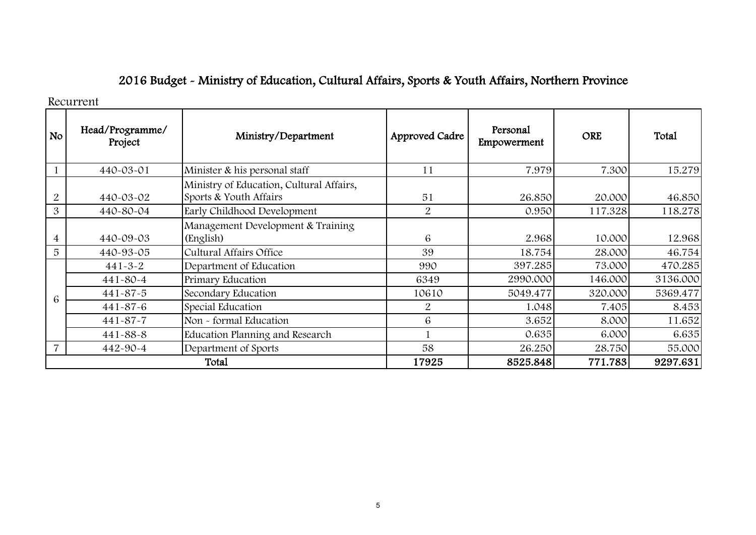# 2016 Budget - Ministry of Education, Cultural Affairs, Sports & Youth Affairs, North

Recurrent

| <b>No</b> | Head/Programme<br>Project | Ministry/Department                                           |                | Personal<br>Approved Cadre russing | <b>ORE</b> | Total   |
|-----------|---------------------------|---------------------------------------------------------------|----------------|------------------------------------|------------|---------|
|           | 440-03-01                 | Minister & his personal staff                                 | 11             | 7.979                              | 7.300      | 15.27   |
|           | 440-03-02                 | Ministry of Education, Cultural Aff<br>Sports & Youth Affairs | 51             | 26.850                             | 20.000     | 46.85   |
| 3         | 440-80-04                 | Early Childhood Development                                   | 2              | 0.950                              | 117.328    | 118.27  |
|           | 440-09-03                 | Management Development & Train<br>(English)                   | 6              | 2.968                              | 10.000     | 12.96   |
| 5         | 440-93-05                 | <b>Cultural Affairs Office</b>                                | 39             | 18.754                             | 28.000     | 46.75   |
| 6         | $441 - 3 - 2$             | Department of Education                                       | 990            | 397.285                            | 73.000     | 470.28  |
|           | 441-80-4                  | Primary Education                                             | 6349           | 2990.000                           | 146.000    | 3136.00 |
|           | 441-87-5                  | Secondary Education                                           | 10610          | 5049.477                           | 320.000    | 5369.4  |
|           | 441-87-6                  | Special Education                                             | $\overline{2}$ | 1.048                              | 7.405      | 8.45    |
|           | 441-87-7                  | Non - formal Education                                        | 6              | 3.652                              | 8.000      | 11.65   |
|           | 441-88-8                  | Education Planning and Research                               |                | 0.635                              | 6.000      | 6.63    |
| 7         | 442-90-4                  | Department of Sports                                          | 58             | 26.250                             | 28.750     | 55.00   |
|           |                           | Total                                                         | 17925          | 8525.848                           | 771.783    | 9297.61 |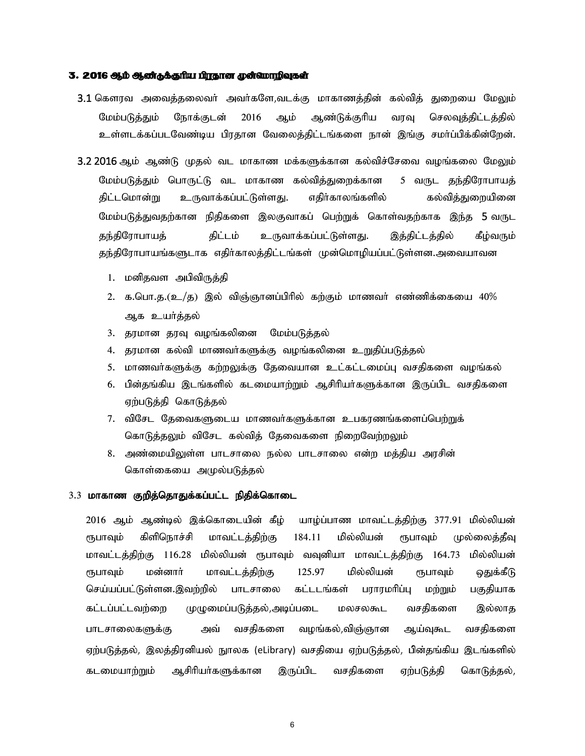#### 3. 2016 ஆம் ஆண்தக்குரிய பிரதான முன்வமாறிவுகள்

- 3.1 கௌரவ அவைத்தலைவர் அவர்களே,வடக்கு மாகாணத்தின் கல்வித் துறையை மேலும் மேம்படுத்தும் நோக்குடன் 2016 ஆம் ஆண்டுக்குரிய வரவு செலவுத்திட்டத்தில் உள்ளடக்கப்படவேண்டிய பிரதான வேலைத்திட்டங்களை நான் இங்கு சமா்ப்பிக்கின்றேன்.
- 3.2 2016 ஆம் ஆண்டு முதல் வட மாகாண மக்களுக்கான கல்விச்சேவை வழங்கலை மேலும் மேம்படுத்தும் பொருட்டு வட மாகாண கல்வித்துறைக்கான 5 வருட தந்திரோபாயத் திட்டமொன்று உருவாக்கப்பட்டுள்ளது. எதிர்காலங்களில் கல்வித்துறையினை மேம்படுத்துவதற்கான நிதிகளை இலகுவாகப் பெற்றுக் கொள்வதற்காக இந்த 5 வருட தந்திரோபாயத் திட்டம் உருவாக்கப்பட்டுள்ளது. இத்திட்டத்தில் கீழ்வரும் தந்திரோபாயங்களுடாக எதிர்காலத்திட்டங்கள் முன்மொழியப்பட்டுள்ளன.அவையாவன
	- 1. மனிதவள அபிவிருத்தி
	- 2. க.பொ.த. $(\underline{\mathfrak{v}}_{-}/\underline{\mathfrak{g}})$  இல் விஞ்ஞானப்பிரில் கற்கும் மாணவர் எண்ணிக்கையை 40% ஆக உயர்த்தல்
	- 3. தரமான தரவு வழங்கலினை மேம்படுத்தல்
	- 4. தரமான கல்வி மாணவர்களுக்கு வழங்கலினை உறுதிப்படுத்தல்
	- 5. மாணவா்களுக்கு கற்றலுக்கு தேவையான உட்கட்டமைப்பு வசதிகளை வழங்கல்
	- 6. பின்தங்கிய இடங்களில் கடமையாற்றும் ஆசிரியர்களுக்கான இருப்பிட வசதிகளை ஏற்படுத்தி கொடுத்தல்
	- 7. விசேட தேவைகளுடைய மாணவர்களுக்கான உபகரணங்களைப்பெற்றுக் கொடுத்தலும் விசேட கல்வித் தேவைகளை நிறைவேற்றலும்
	- 8. அண்மையிலுள்ள பாடசாலை நல்ல பாடசாலை என்ற மத்திய அரசின் கொள்கையை அமுல்படுத்தல்

#### $3.3$  மாகாண குறித்தொதுக்கப்பட்ட நிதிக்கொடை

2016 ஆம் ஆண்டில் இக்கொடையின் கீழ் யாழ்ப்பாண மாவட்டத்திற்கு 377.91 மில்லியன் ரூபாவும் கிளிநொச்சி மாவட்டத்திற்கு 184.11 மில்லியன் ரூபாவும் முல்லைத்தீவு மாவட்டத்திற்கு 116.28 மில்லியன் ரூபாவும் வவுனியா மாவட்டத்திற்கு 164.73 மில்லியன் ரூபாவும் மன்னாா் மாவட்டத்திற்கு 125.97 மில்லியன் ரூபாவும் ஒதுக்கீடு செய்யப்பட்டுள்ளன.இவற்றில் பாடசாலை கட்டடங்கள் பராரமரிப்பு மற்றும் பகுதியாக கட்டப்பட்டவற்றை முழுமைப்படுத்தல்,அடிப்படை மலசலகூட வசதிகளை இல்லாத பாடசாலைகளுக்கு அவ் வசதிகளை வழங்கல்,விஞ்ஞான ஆய்வுகூட வசதிகளை ஏற்படுத்தல், இலத்திரனியல் நூலக (eLibrary) வசதியை ஏற்படுத்தல், பின்தங்கிய இடங்களில் கடமையாற்றும் ஆசிரியா்களுக்கான இருப்பிட வசதிகளை ஏற்படுத்தி கொடுத்தல்,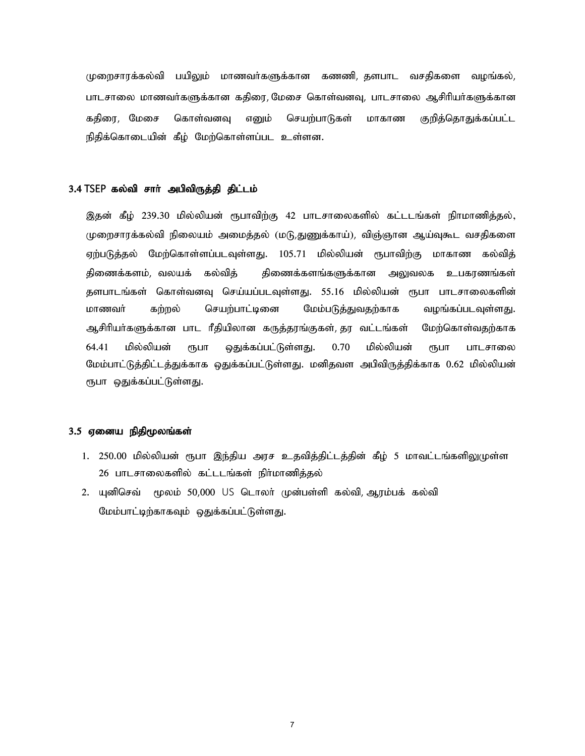முறைசாரக்கல்வி பயிலும் மாணவா்களுக்கான கணணி, தளபாட வசதிகளை வழங்கல், பாடசாலை மாணவர்களுக்கான கதிரை, மேசை கொள்வனவு, பாடசாலை ஆசிரியர்களுக்கான கதிரை, மேசை கொள்வனவு எனும் செயற்பாடுகள் மாகாண குறித்தொதுக்கப்பட்ட நிதிக்கொடையின் கீழ் மேற்கொள்ளப்பட உள்ளன.

#### 3.4 TSEP கல்வி சார் அபிவிருத்தி திட்டம்

இதன் கீழ் 239.30 மில்லியன் ரூபாவிற்கு 42 பாடசாலைகளில் கட்டடங்கள் நிாமாணித்தல், முறைசாரக்கல்வி நிலையம் அமைத்தல் (மடு,துணுக்காய்), விஞ்ஞான ஆய்வுகூட வசதிகளை ஏற்படுத்தல் மேற்கொள்ளப்படவுள்ளது. 105.71 மில்லியன் ரூபாவிற்கு மாகாண கல்வித் திணைக்களம், வலயக் கல்வித் திணைக்களங்களுக்கான அலுவலக உபகரணங்கள் களபாடங்கள் கொள்வனவு செய்யப்படவுள்ளது. 55.16 மில்லியன் ரூபா பாடசாலைகளின் மாணவா் கற்றல் செயற்பாட்டினை மேம்படுத்துவதற்காக வழங்கப்படவுள்ளது. ஆசிரியா்களுக்கான பாட ரீதியிலான கருத்தரங்குகள், தர வட்டங்கள் மேற்கொள்வதற்காக 64.41 மில்லியன் ரூபா ஒதுக்கப்பட்டுள்ளது. 0.70 மில்லியன் ரூபா பாடசாலை மேம்பாட்டுத்திட்டத்துக்காக ஒதுக்கப்பட்டுள்ளது. மனிதவள அபிவிருத்திக்காக 0.62 மில்லியன் ரூபா ஒதுக்கப்பட்டுள்ளது.

#### 3.5 ஏனைய நிதிமூலங்கள்

- 1. 250.00 மில்லியன் ரூபா இந்திய அரச உதவித்திட்டத்தின் கீழ் 5 மாவட்டங்களிலுமுள்ள 26 பாடசாலைகளில் கட்டடங்கள் நிர்மாணித்தல்
- 2. யுனிசெவ் மூலம் 50,000 US டொலா் முன்பள்ளி கல்வி, ஆரம்பக் கல்வி மேம்பாட்டிற்காகவும் ஒதுக்கப்பட்டுள்ளது.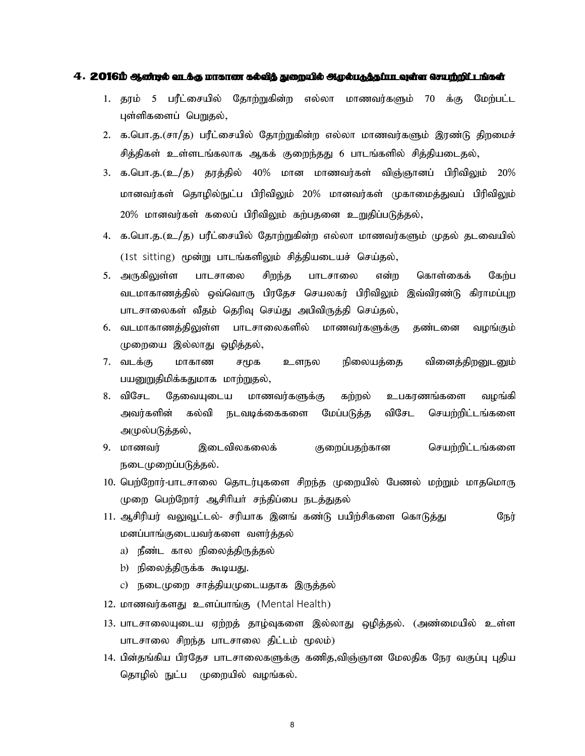#### $4.2016$   $\Phi$  %  $\Phi$  an  $\hbar$  an  $\hbar$  when  $\hbar$  and  $\hbar$  and  $\hbar$  and  $\Phi$  and  $\Phi$  and  $\Phi$  and  $\Phi$  and  $\Phi$  and  $\Phi$  and  $\Phi$  and  $\Phi$  and  $\Phi$  and  $\Phi$  and  $\Phi$  and  $\Phi$  and  $\Phi$  and  $\Phi$  and  $\Phi$  and  $\Phi$  and  $\$

- 1. தூம் 5 பரீட்சையில் தோற்றுகின்ற எல்லா மாணவர்களும் 70 க்கு மேற்பட்ட புள்ளிகளைப் பெறுதல்,
- 2. க.பொ.த.(சா/த) பரீட்சையில் தோற்றுகின்ற எல்லா மாணவர்களும் இரண்டு திறமைச் சித்திகள் உள்ளடங்கலாக ஆகக் குறைந்தது 6 பாடங்களில் சித்தியடைதல்,
- 3. க.பொ.த.(உ/த) தரத்தில் 40% மான மாணவர்கள் விஞ்ஞானப் பிரிவிலும் 20% மானவர்கள் தொழில்நுட்ப பிரிவிலும் 20% மானவர்கள் முகாமைத்துவப் பிரிவிலும் 20% மானவர்கள் கலைப் பிரிவிலும் கற்பதனை உறுதிப்படுத்தல்,
- 4. க.பொ.த.(உ/த) பரீட்சையில் தோற்றுகின்ற எல்லா மாணவர்களும் முதல் தடவையில் (1st sitting) மூன்று பாடங்களிலும் சித்தியடையச் செய்தல்,
- <u>5. அருகிலு</u>ள்ள பாடசாலை சிறந்த பாடசாலை என்ற கொள்கைக் கேற்ப வடமாகாணத்தில் ஒவ்வொரு பிரதேச செயலகர் பிரிவிலும் இவ்விரண்டு கிராமப்புற பாடசாலைகள் வீதம் தெரிவு செய்து அபிவிருத்தி செய்தல்,
- 6. வடமாகாணத்திலுள்ள பாடசாலைகளில் மாணவர்களுக்கு தண்டனை வழங்கும் முறையை இல்லாது ஒழித்தல்,
- 7. வடக்கு மாகாண சமூக உளநல நிலையத்தை வினைத்திறனுடனும் பயனுறுதிமிக்கதுமாக மாற்றுதல்,
- 8. விசேட தேவையுடைய மாணவர்களுக்கு கற்றல் உபகரணங்களை வழங்கி அவர்களின் கல்வி நடவடிக்கைகளை மேப்படுத்த விசேட செயற்றிட்டங்களை அமுல்படுத்தல்,
- 9. khztu; ,iltpyfiyf; Fiwg;gjw;fhd nraw;wpl;lq;fis நடைமுறைப்படுத்தல்.
- 10. பெற்றோர்-பாடசாலை தொடர்புகளை சிறந்த முறையில் பேணல் மற்றும் மாதமொரு முறை பெற்றோர் ஆசிரியர் சந்திப்பை நடத்துதல்
- 11. ஆசிரியர் வலுவூட்டல்- சரியாக இனங் கண்டு பயிற்சிகளை கொடுத்து நேர் மனப்பாங்குடையவர்களை வளர்த்தல்
	- a) நீண்ட கால நிலைத்திருத்தல்
	- b) நிலைத்திருக்க கூடியது.
	- c) நடைமுறை சாத்தியமுடையதாக இருத்தல்
- 12. மாணவர்களது உளப்பாங்கு (Mental Health)
- 13. பாடசாலையுடைய ஏற்றத் தாழ்வுகளை இல்லாது ஒழித்தல். (அண்மையில் உள்ள பாடசாலை சிறந்த பாடசாலை திட்டம் மூலம்)
- 14. பின்தங்கிய பிரதேச பாடசாலைகளுக்கு கணித,விஞ்ஞான மேலதிக நேர வகுப்பு புதிய தொழில் நுட்ப முறையில் வழங்கல்.